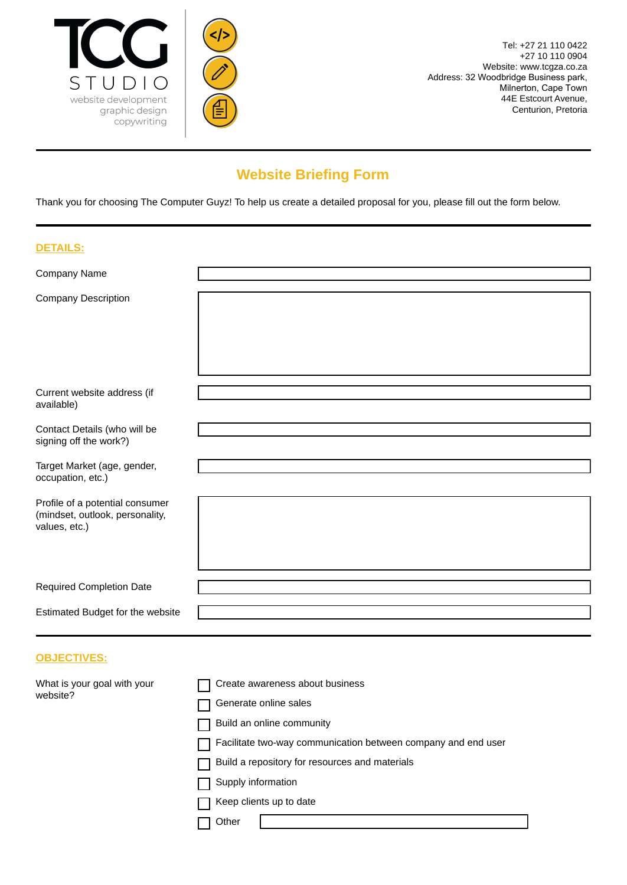

 $\le$ />



## **Website Briefing Form**

Thank you for choosing The Computer Guyz! To help us create a detailed proposal for you, please fill out the form below.

| <b>DETAILS:</b>                                                                     |  |
|-------------------------------------------------------------------------------------|--|
| Company Name                                                                        |  |
| <b>Company Description</b>                                                          |  |
| Current website address (if<br>available)                                           |  |
| Contact Details (who will be<br>signing off the work?)                              |  |
| Target Market (age, gender,<br>occupation, etc.)                                    |  |
| Profile of a potential consumer<br>(mindset, outlook, personality,<br>values, etc.) |  |
| <b>Required Completion Date</b>                                                     |  |
| Estimated Budget for the website                                                    |  |
| <b>OBJECTIVES:</b>                                                                  |  |

| What is your goal with your | Create awareness about business                               |
|-----------------------------|---------------------------------------------------------------|
| website?                    | Generate online sales                                         |
|                             | Build an online community                                     |
|                             | Facilitate two-way communication between company and end user |
|                             | Build a repository for resources and materials                |
|                             | Supply information                                            |
|                             | Keep clients up to date                                       |
|                             | Other                                                         |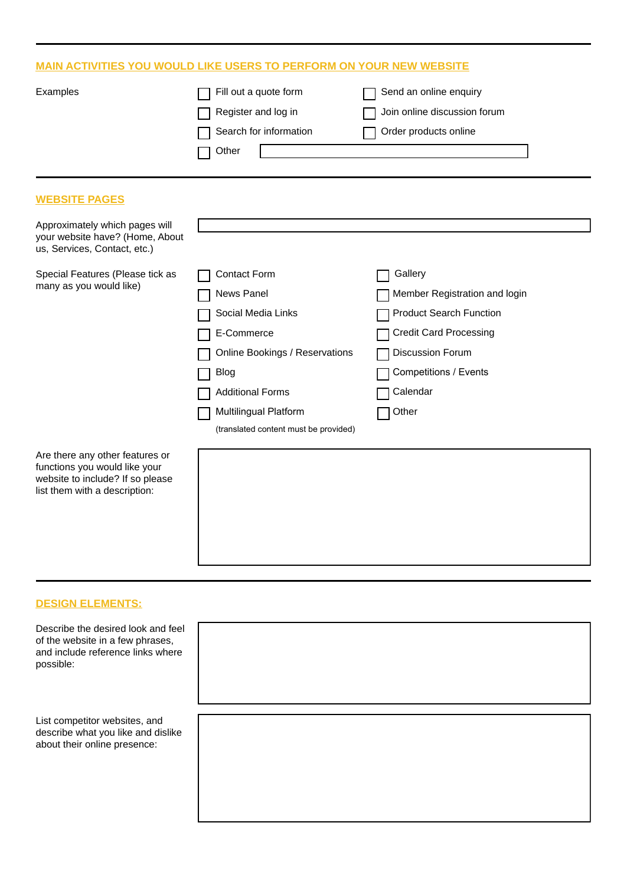## **MAIN ACTIVITIES YOU WOULD LIKE USERS TO PERFORM ON YOUR NEW WEBSITE**

| Examples                                                                                                                              | Fill out a quote form                 | Send an online enquiry         |
|---------------------------------------------------------------------------------------------------------------------------------------|---------------------------------------|--------------------------------|
|                                                                                                                                       | Register and log in                   | Join online discussion forum   |
|                                                                                                                                       | Search for information                | Order products online          |
|                                                                                                                                       | Other                                 |                                |
|                                                                                                                                       |                                       |                                |
| <b>WEBSITE PAGES</b>                                                                                                                  |                                       |                                |
| Approximately which pages will                                                                                                        |                                       |                                |
| your website have? (Home, About<br>us, Services, Contact, etc.)                                                                       |                                       |                                |
| Special Features (Please tick as                                                                                                      | <b>Contact Form</b>                   | Gallery                        |
| many as you would like)                                                                                                               | News Panel                            | Member Registration and login  |
|                                                                                                                                       | Social Media Links                    | <b>Product Search Function</b> |
|                                                                                                                                       | E-Commerce                            | <b>Credit Card Processing</b>  |
|                                                                                                                                       | Online Bookings / Reservations        | Discussion Forum               |
|                                                                                                                                       | <b>Blog</b>                           | Competitions / Events          |
|                                                                                                                                       | <b>Additional Forms</b>               | Calendar                       |
|                                                                                                                                       | Multilingual Platform                 | Other                          |
|                                                                                                                                       | (translated content must be provided) |                                |
| Are there any other features or<br>functions you would like your<br>website to include? If so please<br>list them with a description: |                                       |                                |

## **DESIGN ELEMENTS:**

Describe the de of the website and include refe possible:

List competitor describe what about their online

| esired look and feel<br>in a few phrases,<br>erence links where |  |  |
|-----------------------------------------------------------------|--|--|
| websites, and<br>you like and dislike<br>ine presence:          |  |  |